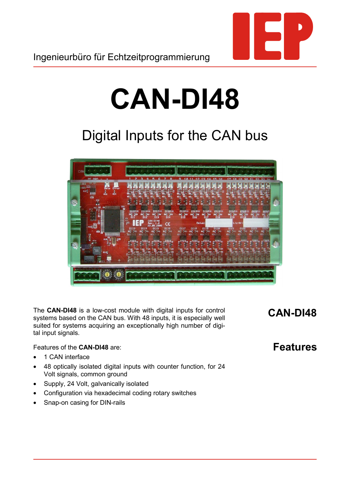

## **CAN-DI48**

## Digital Inputs for the CAN bus



The **CAN-DI48** is a low-cost module with digital inputs for control systems based on the CAN bus. With 48 inputs, it is especially well suited for systems acquiring an exceptionally high number of digital input signals.

**CAN-DI48**

Features of the **CAN-DI48** are:

- 1 CAN interface
- 48 optically isolated digital inputs with counter function, for 24 Volt signals, common ground
- Supply, 24 Volt, galvanically isolated
- Configuration via hexadecimal coding rotary switches
- Snap-on casing for DIN-rails

**Features**